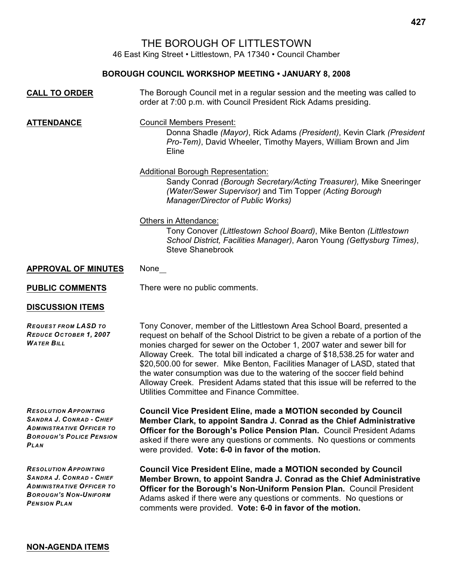## THE BOROUGH OF LITTLESTOWN

46 East King Street • Littlestown, PA 17340 • Council Chamber

## **BOROUGH COUNCIL WORKSHOP MEETING • JANUARY 8, 2008**

| <b>CALL TO ORDER</b>                                                                                                                                | The Borough Council met in a regular session and the meeting was called to<br>order at 7:00 p.m. with Council President Rick Adams presiding.                                                                                                                                                                                                                                                                                                                                                                                                                                                                      |
|-----------------------------------------------------------------------------------------------------------------------------------------------------|--------------------------------------------------------------------------------------------------------------------------------------------------------------------------------------------------------------------------------------------------------------------------------------------------------------------------------------------------------------------------------------------------------------------------------------------------------------------------------------------------------------------------------------------------------------------------------------------------------------------|
| <b>ATTENDANCE</b>                                                                                                                                   | <b>Council Members Present:</b><br>Donna Shadle (Mayor), Rick Adams (President), Kevin Clark (President<br>Pro-Tem), David Wheeler, Timothy Mayers, William Brown and Jim<br>Eline                                                                                                                                                                                                                                                                                                                                                                                                                                 |
|                                                                                                                                                     | <b>Additional Borough Representation:</b><br>Sandy Conrad (Borough Secretary/Acting Treasurer), Mike Sneeringer<br>(Water/Sewer Supervisor) and Tim Topper (Acting Borough<br>Manager/Director of Public Works)                                                                                                                                                                                                                                                                                                                                                                                                    |
|                                                                                                                                                     | Others in Attendance:<br>Tony Conover (Littlestown School Board), Mike Benton (Littlestown<br>School District, Facilities Manager), Aaron Young (Gettysburg Times),<br><b>Steve Shanebrook</b>                                                                                                                                                                                                                                                                                                                                                                                                                     |
| <b>APPROVAL OF MINUTES</b>                                                                                                                          | None                                                                                                                                                                                                                                                                                                                                                                                                                                                                                                                                                                                                               |
| <b>PUBLIC COMMENTS</b>                                                                                                                              | There were no public comments.                                                                                                                                                                                                                                                                                                                                                                                                                                                                                                                                                                                     |
| <b>DISCUSSION ITEMS</b>                                                                                                                             |                                                                                                                                                                                                                                                                                                                                                                                                                                                                                                                                                                                                                    |
| <b>REQUEST FROM LASD TO</b><br>REDUCE OCTOBER 1, 2007<br><b>WATER BILL</b>                                                                          | Tony Conover, member of the Littlestown Area School Board, presented a<br>request on behalf of the School District to be given a rebate of a portion of the<br>monies charged for sewer on the October 1, 2007 water and sewer bill for<br>Alloway Creek. The total bill indicated a charge of \$18,538.25 for water and<br>\$20,500.00 for sewer. Mike Benton, Facilities Manager of LASD, stated that<br>the water consumption was due to the watering of the soccer field behind<br>Alloway Creek. President Adams stated that this issue will be referred to the<br>Utilities Committee and Finance Committee. |
| <b>RESOLUTION APPOINTING</b><br>SANDRA J. CONRAD - CHIEF<br><b>ADMINISTRATIVE OFFICER TO</b><br><b>BOROUGH'S POLICE PENSION</b><br>PLAN             | <b>Council Vice President Eline, made a MOTION seconded by Council</b><br>Member Clark, to appoint Sandra J. Conrad as the Chief Administrative<br>Officer for the Borough's Police Pension Plan. Council President Adams<br>asked if there were any questions or comments. No questions or comments<br>were provided. Vote: 6-0 in favor of the motion.                                                                                                                                                                                                                                                           |
| <b>RESOLUTION APPOINTING</b><br>SANDRA J. CONRAD - CHIEF<br><b>ADMINISTRATIVE OFFICER TO</b><br><b>BOROUGH'S NON-UNIFORM</b><br><b>PENSION PLAN</b> | <b>Council Vice President Eline, made a MOTION seconded by Council</b><br>Member Brown, to appoint Sandra J. Conrad as the Chief Administrative<br>Officer for the Borough's Non-Uniform Pension Plan. Council President<br>Adams asked if there were any questions or comments. No questions or<br>comments were provided. Vote: 6-0 in favor of the motion.                                                                                                                                                                                                                                                      |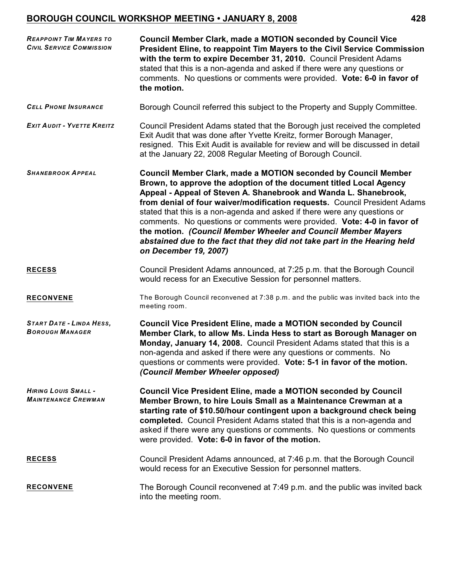## **BOROUGH COUNCIL WORKSHOP MEETING • JANUARY 8, 2008 428**

| <b>REAPPOINT TIM MAYERS TO</b><br><b>CIVIL SERVICE COMMISSION</b> | <b>Council Member Clark, made a MOTION seconded by Council Vice</b><br>President Eline, to reappoint Tim Mayers to the Civil Service Commission<br>with the term to expire December 31, 2010. Council President Adams<br>stated that this is a non-agenda and asked if there were any questions or<br>comments. No questions or comments were provided. Vote: 6-0 in favor of<br>the motion.                                                                                                                                                                                                                                |
|-------------------------------------------------------------------|-----------------------------------------------------------------------------------------------------------------------------------------------------------------------------------------------------------------------------------------------------------------------------------------------------------------------------------------------------------------------------------------------------------------------------------------------------------------------------------------------------------------------------------------------------------------------------------------------------------------------------|
| <b>CELL PHONE INSURANCE</b>                                       | Borough Council referred this subject to the Property and Supply Committee.                                                                                                                                                                                                                                                                                                                                                                                                                                                                                                                                                 |
| <b>EXIT AUDIT - YVETTE KREITZ</b>                                 | Council President Adams stated that the Borough just received the completed<br>Exit Audit that was done after Yvette Kreitz, former Borough Manager,<br>resigned. This Exit Audit is available for review and will be discussed in detail<br>at the January 22, 2008 Regular Meeting of Borough Council.                                                                                                                                                                                                                                                                                                                    |
| <b>SHANEBROOK APPEAL</b>                                          | <b>Council Member Clark, made a MOTION seconded by Council Member</b><br>Brown, to approve the adoption of the document titled Local Agency<br>Appeal - Appeal of Steven A. Shanebrook and Wanda L. Shanebrook,<br>from denial of four waiver/modification requests. Council President Adams<br>stated that this is a non-agenda and asked if there were any questions or<br>comments. No questions or comments were provided. Vote: 4-0 in favor of<br>the motion. (Council Member Wheeler and Council Member Mayers<br>abstained due to the fact that they did not take part in the Hearing held<br>on December 19, 2007) |
| <b>RECESS</b>                                                     | Council President Adams announced, at 7:25 p.m. that the Borough Council<br>would recess for an Executive Session for personnel matters.                                                                                                                                                                                                                                                                                                                                                                                                                                                                                    |
| <b>RECONVENE</b>                                                  | The Borough Council reconvened at 7:38 p.m. and the public was invited back into the<br>meeting room.                                                                                                                                                                                                                                                                                                                                                                                                                                                                                                                       |
| <b>START DATE - LINDA HESS,</b><br><b>BOROUGH MANAGER</b>         | <b>Council Vice President Eline, made a MOTION seconded by Council</b><br>Member Clark, to allow Ms. Linda Hess to start as Borough Manager on<br>Monday, January 14, 2008. Council President Adams stated that this is a<br>non-agenda and asked if there were any questions or comments. No<br>questions or comments were provided. Vote: 5-1 in favor of the motion.<br>(Council Member Wheeler opposed)                                                                                                                                                                                                                 |
| <b>HIRING LOUIS SMALL -</b><br><b>MAINTENANCE CREWMAN</b>         | <b>Council Vice President Eline, made a MOTION seconded by Council</b><br>Member Brown, to hire Louis Small as a Maintenance Crewman at a<br>starting rate of \$10.50/hour contingent upon a background check being<br>completed. Council President Adams stated that this is a non-agenda and<br>asked if there were any questions or comments. No questions or comments<br>were provided. Vote: 6-0 in favor of the motion.                                                                                                                                                                                               |
| <u>RECESS</u>                                                     | Council President Adams announced, at 7:46 p.m. that the Borough Council<br>would recess for an Executive Session for personnel matters.                                                                                                                                                                                                                                                                                                                                                                                                                                                                                    |
| <b>RECONVENE</b>                                                  | The Borough Council reconvened at 7:49 p.m. and the public was invited back<br>into the meeting room.                                                                                                                                                                                                                                                                                                                                                                                                                                                                                                                       |